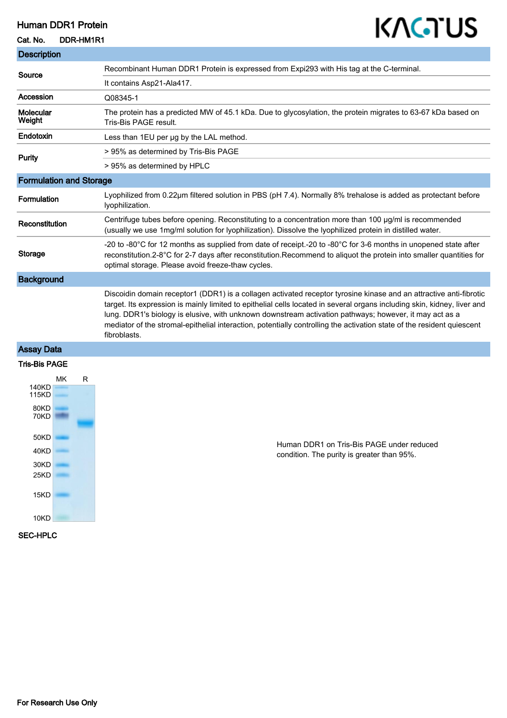## Human DDR1 Protein

#### Cat. No. DDR-HM1R1

T.

# KAGTUS

| <b>Description</b>             |                                                                                                                                                                                                                                                                                                                                                                                                                                                                                                    |
|--------------------------------|----------------------------------------------------------------------------------------------------------------------------------------------------------------------------------------------------------------------------------------------------------------------------------------------------------------------------------------------------------------------------------------------------------------------------------------------------------------------------------------------------|
| Source                         | Recombinant Human DDR1 Protein is expressed from Expi293 with His tag at the C-terminal.                                                                                                                                                                                                                                                                                                                                                                                                           |
|                                | It contains Asp21-Ala417.                                                                                                                                                                                                                                                                                                                                                                                                                                                                          |
| Accession                      | Q08345-1                                                                                                                                                                                                                                                                                                                                                                                                                                                                                           |
| Molecular<br>Weight            | The protein has a predicted MW of 45.1 kDa. Due to glycosylation, the protein migrates to 63-67 kDa based on<br>Tris-Bis PAGE result.                                                                                                                                                                                                                                                                                                                                                              |
| Endotoxin                      | Less than 1EU per ug by the LAL method.                                                                                                                                                                                                                                                                                                                                                                                                                                                            |
| Purity                         | > 95% as determined by Tris-Bis PAGE                                                                                                                                                                                                                                                                                                                                                                                                                                                               |
|                                | > 95% as determined by HPLC                                                                                                                                                                                                                                                                                                                                                                                                                                                                        |
| <b>Formulation and Storage</b> |                                                                                                                                                                                                                                                                                                                                                                                                                                                                                                    |
| Formulation                    | Lyophilized from 0.22µm filtered solution in PBS (pH 7.4). Normally 8% trehalose is added as protectant before<br>lyophilization.                                                                                                                                                                                                                                                                                                                                                                  |
| Reconstitution                 | Centrifuge tubes before opening. Reconstituting to a concentration more than 100 µg/ml is recommended<br>(usually we use 1mg/ml solution for lyophilization). Dissolve the lyophilized protein in distilled water.                                                                                                                                                                                                                                                                                 |
| <b>Storage</b>                 | -20 to -80 $\degree$ C for 12 months as supplied from date of receipt.-20 to -80 $\degree$ C for 3-6 months in unopened state after<br>reconstitution.2-8°C for 2-7 days after reconstitution.Recommend to aliquot the protein into smaller quantities for<br>optimal storage. Please avoid freeze-thaw cycles.                                                                                                                                                                                    |
| <b>Background</b>              |                                                                                                                                                                                                                                                                                                                                                                                                                                                                                                    |
|                                | Discoidin domain receptor1 (DDR1) is a collagen activated receptor tyrosine kinase and an attractive anti-fibrotic<br>target. Its expression is mainly limited to epithelial cells located in several organs including skin, kidney, liver and<br>lung. DDR1's biology is elusive, with unknown downstream activation pathways; however, it may act as a<br>mediator of the stromal-epithelial interaction, potentially controlling the activation state of the resident quiescent<br>fibroblasts. |
| <b>Assay Data</b>              |                                                                                                                                                                                                                                                                                                                                                                                                                                                                                                    |

#### Tris-Bis PAGE



Human DDR1 on Tris-Bis PAGE under reduced condition. The purity is greater than 95%.